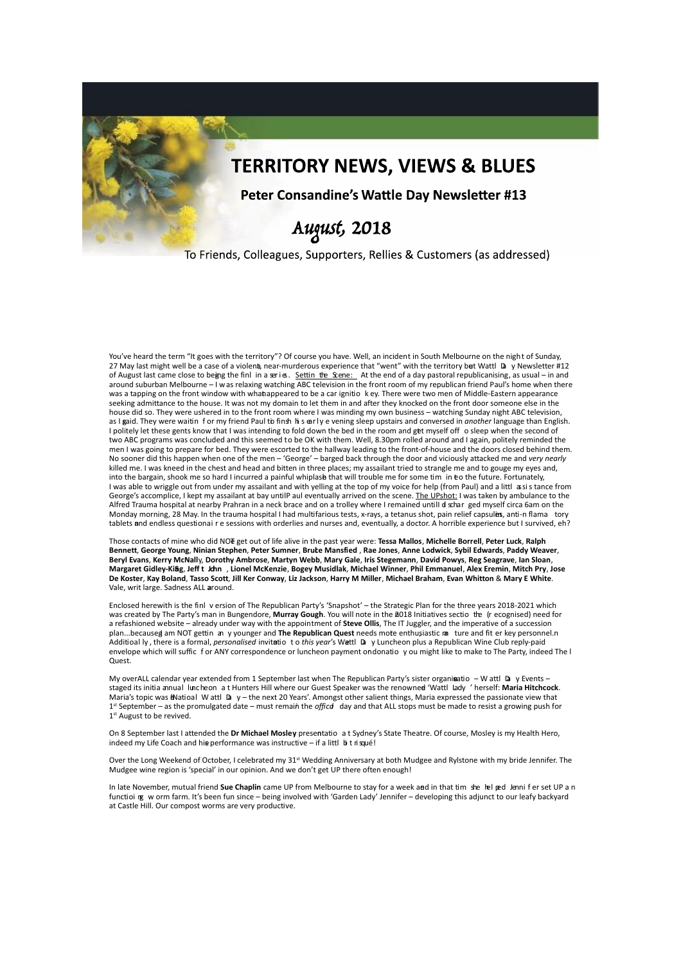

## To Friends, Colleagues, Supporters, Rellies & Customers (as addressed)

You've heard the term "It goes with the territory"? Of course you have. Well, an incident in South Melbourne on the night of Sunday, 27 May last might well be a case of a violent, near-murderous experience that "went" with the territory b**e**t Wattl Day Newsletter #12 of August last came close to being the finl in a series. Settin the Scene: At the end of a day pastoral republicanising, as usual – in and around suburban Melbourne – I was relaxing watching ABC television in the front room of my republican friend Paul's home when there was a tapping on the front window with whatnappeared to be a car ignitio k ey. There were two men of Middle-Eastern appearance seeking admittance to the house. It was not my domain to let them in and after they knocked on the front door someone else in the house did so. They were ushered in to the front room where I was minding my own business – watching Sunday night ABC television, as I gaid. They were waitin for my friend Paul to finsh hi s early e vening sleep upstairs and conversed in *another* language than English. I politely let these gents know that I was intending to fold down the bed in the room and get myself off o sleep when the second of two ABC programs was concluded and this seemed to be OK with them. Well, 8.30pm rolled around and I again, politely reminded the men I was going to prepare for bed. They were escorted to the hallway leading to the front-of-house and the doors closed behind them. No sooner did this happen when one of the men – 'George' – barged back through the door and viciously attacked me and *very nearly* killed me. I was kneed in the chest and head and bitten in three places; my assailant tried to strangle me and to gouge my eyes and, into the bargain, shook me so hard I incurred a painful whiplas**h** that will trouble me for some tim  $\,$ in  $\,$ eo the future. Fortunately, I was able to wriggle out from under my assailant and with yelling at the top of my voice for help (from Paul) and a littl assis tance from George's accomplice, I kept my assailant at bay untilP aul eventually arrived on the scene. The UPshot: I was taken by ambulance to the Alfred Trauma hospital at nearby Prahran in a neck brace and on a trolley where I remained untilI di schar ged myself circa 6am on the Monday morning, 28 May. In the trauma hospital I had multifarious tests, x-rays, a tetanus shot, pain relief capsulus, anti-n flama tory tablets and endless questionai r e sessions with orderlies and nurses and, eventually, a doctor. A horrible experience but I survived, eh?

Those contacts of mine who did NO<del>T</del> get out of life alive in the past year were: **Tessa Mallos, Michelle Borrell, Peter Luck, Ralph Bennett**, **George Young**, **Ninian Stephen**, **Peter Sumner**, **Brucl e Mansfied** , **Rae Jones**, **Anne Lodwick**, **Sybil Edwards**, **Paddy Weaver**, **Beryl Evans**, **Kerry McNall**y, **Dorothy Ambrose**, **Martyn Webb**, **Mary Gale**, **Iris Stegemann**, **David Powys**, **Reg Seagrave**, **Ian Sloan**, Margaret Gidley-King, Jeff t John , Lionel McKenzie, Bogey Musidlak, Michael Winner, Phil Emmanuel, Alex Eremin, Mitch Pry, Jose De Koster, Kay Boland, Tasso Scott, Jill Ker Conway, Liz Jackson, Harry M Miller, Michael Braham, Evan Whitton & Mary E White. Vale, writ large. Sadness ALL around.

Enclosed herewith is the finl version of The Republican Party's 'Snapshot' – the Strategic Plan for the three years 2018-2021 which was created by The Party's man in Bungendore, Murray Gough. You will note in the 2018 Initiatives sectio the (recognised) need for a refashioned website – already under way with the appointment of **Steve Ollis**, The IT Juggler, and the imperative of a succession plan...becauseg am NOT gettin an y younger and **The Republican Quest** needs mote enthusiastic ma ture and fit er key personnel.n Additioal ly, there is a formal, *personalised* invitatio to this year's Wattl Day Luncheon plus a Republican Wine Club reply-paid envelope which will suffic f or ANY correspondence or luncheon payment orndonatio y ou might like to make to The Party, indeed The l Quest.

My overALL calendar year extended from 1 September last when The Republican Party's sister organi**s**atio – W attl Da y Events – staged its initia annual luncheon at Hunters Hill where our Guest Speaker was the renowned 'Wattl Lady ' herself: Maria Hitchcock. Maria's topic was ENatioal W attl Da y – the next 20 Years'. Amongst other salient things, Maria expressed the passionate view that 1<sup>st</sup> September – as the promulgated date – must remain the *officd* day and that ALL stops must be made to resist a growing push for 1<sup>st</sup> August to be revived.

On 8 September last I attended the **Dr Michael Mosley** presentatio a t Sydney's State Theatre. Of course, Mosley is my Health Hero,  $i$ ndeed my Life Coach and hie performance was instructive – if a littl  $b$  t risqué!

Over the Long Weekend of October, I celebrated my 31<sup>st</sup> Wedding Anniversary at both Mudgee and Rylstone with my bride Jennifer. The Mudgee wine region is 'special' in our opinion. And we don't get UP there often enough

In late November, mutual friend Sue Chaplin came UP from Melbourne to stay for a week and in that tim she hel ped Jenni f er set UP a n functio i ng w orm farm. It's been fun since – being involved with 'Garden Lady' Jennifer – developing this adjunct to our leafy backyard at Castle Hill. Our compost worms are very productive.